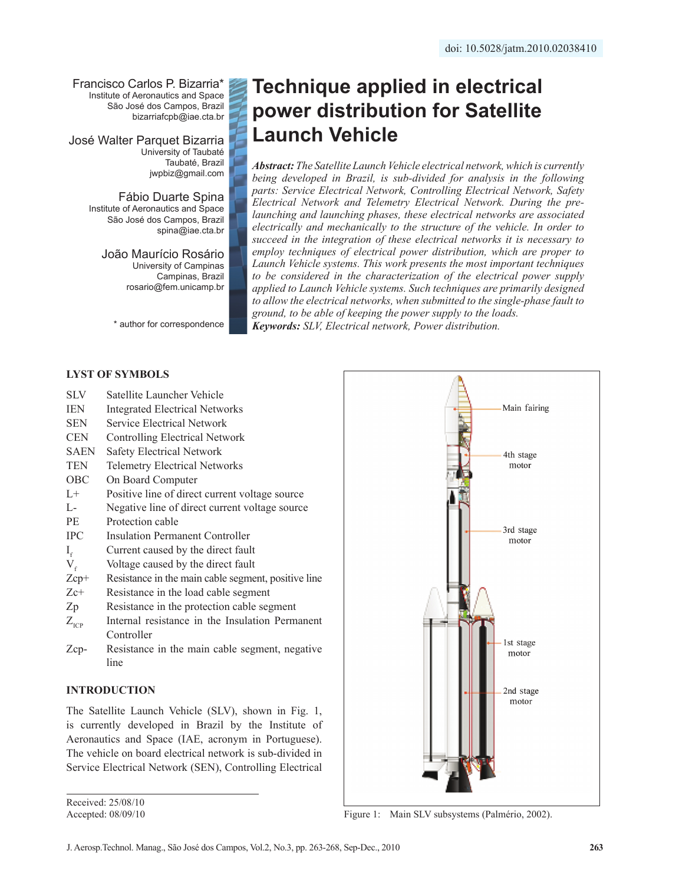Francisco Carlos P. Bizarria\* Institute of Aeronautics and Space São José dos Campos, Brazil bizarriafcpb@iae.cta.br

José Walter Parquet Bizarria University of Taubaté Taubaté, Brazil jwpbiz@gmail.com

> Fábio Duarte Spina Institute of Aeronautics and Space São José dos Campos, Brazil spina@iae.cta.br

> > João Maurício Rosário University of Campinas Campinas, Brazil rosario@fem.unicamp.br

\* author for correspondence

# **Technique applied in electrical power distribution for Satellite Launch Vehicle**

*Abstract: The Satellite Launch Vehicle electrical network, which is currently being developed in Brazil, is sub-divided for analysis in the following parts: Service Electrical Network, Controlling Electrical Network, Safety Electrical Network and Telemetry Electrical Network. During the prelaunching and launching phases, these electrical networks are associated electrically and mechanically to the structure of the vehicle. In order to succeed in the integration of these electrical networks it is necessary to employ techniques of electrical power distribution, which are proper to Launch Vehicle systems. This work presents the most important techniques to be considered in the characterization of the electrical power supply applied to Launch Vehicle systems. Such techniques are primarily designed to allow the electrical networks, when submitted to the single-phase fault to ground, to be able of keeping the power supply to the loads. Keywords: SLV, Electrical network, Power distribution.*

# **LYST OF SYMBOLS**

- SLV Satellite Launcher Vehicle
- IEN Integrated Electrical Networks
- SEN Service Electrical Network
- CEN Controlling Electrical Network
- SAEN Safety Electrical Network
- TEN Telemetry Electrical Networks
- OBC On Board Computer
- L+ Positive line of direct current voltage source
- L- Negative line of direct current voltage source
- PE Protection cable
- IPC Insulation Permanent Controller
- $I_f$  Current caused by the direct fault<br>V<sub>f</sub> Voltage caused by the direct fault
- $V_f$  Voltage caused by the direct fault<br>  $Zcp+$  Resistance in the main cable segme
- Resistance in the main cable segment, positive line
- Zc+ Resistance in the load cable segment
- Zp Resistance in the protection cable segment
- $Z<sub>ICP</sub>$  Internal resistance in the Insulation Permanent Controller
- Zcp- Resistance in the main cable segment, negative line

# **INTRODUCTION**

The Satellite Launch Vehicle (SLV), shown in Fig. 1, is currently developed in Brazil by the Institute of Aeronautics and Space (IAE, acronym in Portuguese). The vehicle on board electrical network is sub-divided in Service Electrical Network (SEN), Controlling Electrical

Received: 25/08/10 Accepted: 08/09/10



Figure 1: Main SLV subsystems (Palmério, 2002).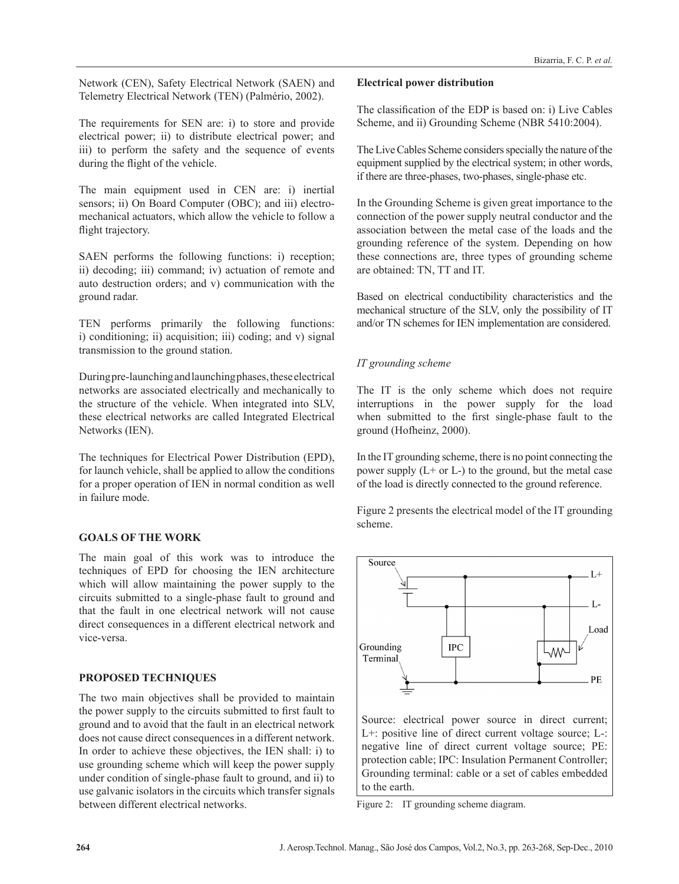Network (CEN), Safety Electrical Network (SAEN) and Telemetry Electrical Network (TEN) (Palmério, 2002).

The requirements for SEN are: i) to store and provide electrical power; ii) to distribute electrical power; and iii) to perform the safety and the sequence of events during the flight of the vehicle.

The main equipment used in CEN are: i) inertial sensors; ii) On Board Computer (OBC); and iii) electromechanical actuators, which allow the vehicle to follow a flight trajectory.

SAEN performs the following functions: i) reception; ii) decoding; iii) command; iv) actuation of remote and auto destruction orders; and v) communication with the ground radar.

TEN performs primarily the following functions: i) conditioning; ii) acquisition; iii) coding; and v) signal transmission to the ground station.

During pre-launching and launching phases, these electrical networks are associated electrically and mechanically to the structure of the vehicle. When integrated into SLV, these electrical networks are called Integrated Electrical Networks (IEN).

The techniques for Electrical Power Distribution (EPD), for launch vehicle, shall be applied to allow the conditions for a proper operation of IEN in normal condition as well in failure mode.

# **GOALS OF THE WORK**

The main goal of this work was to introduce the techniques of EPD for choosing the IEN architecture which will allow maintaining the power supply to the circuits submitted to a single-phase fault to ground and that the fault in one electrical network will not cause direct consequences in a different electrical network and vice-versa.

# **PROPOSED TECHNIQUES**

The two main objectives shall be provided to maintain the power supply to the circuits submitted to first fault to ground and to avoid that the fault in an electrical network does not cause direct consequences in a different network. In order to achieve these objectives, the IEN shall: i) to use grounding scheme which will keep the power supply under condition of single-phase fault to ground, and ii) to use galvanic isolators in the circuits which transfer signals between different electrical networks.

#### **Electrical power distribution**

The classification of the EDP is based on: i) Live Cables Scheme, and ii) Grounding Scheme (NBR 5410:2004).

The Live Cables Scheme considers specially the nature of the equipment supplied by the electrical system; in other words, if there are three-phases, two-phases, single-phase etc.

In the Grounding Scheme is given great importance to the connection of the power supply neutral conductor and the association between the metal case of the loads and the grounding reference of the system. Depending on how these connections are, three types of grounding scheme are obtained: TN, TT and IT.

Based on electrical conductibility characteristics and the mechanical structure of the SLV, only the possibility of IT and/or TN schemes for IEN implementation are considered.

# *IT grounding scheme*

The IT is the only scheme which does not require interruptions in the power supply for the load when submitted to the first single-phase fault to the ground (Hofheinz, 2000).

In the IT grounding scheme, there is no point connecting the power supply  $(L+ or L-)$  to the ground, but the metal case of the load is directly connected to the ground reference.

Figure 2 presents the electrical model of the IT grounding scheme.



Figure 2: IT grounding scheme diagram.

to the earth.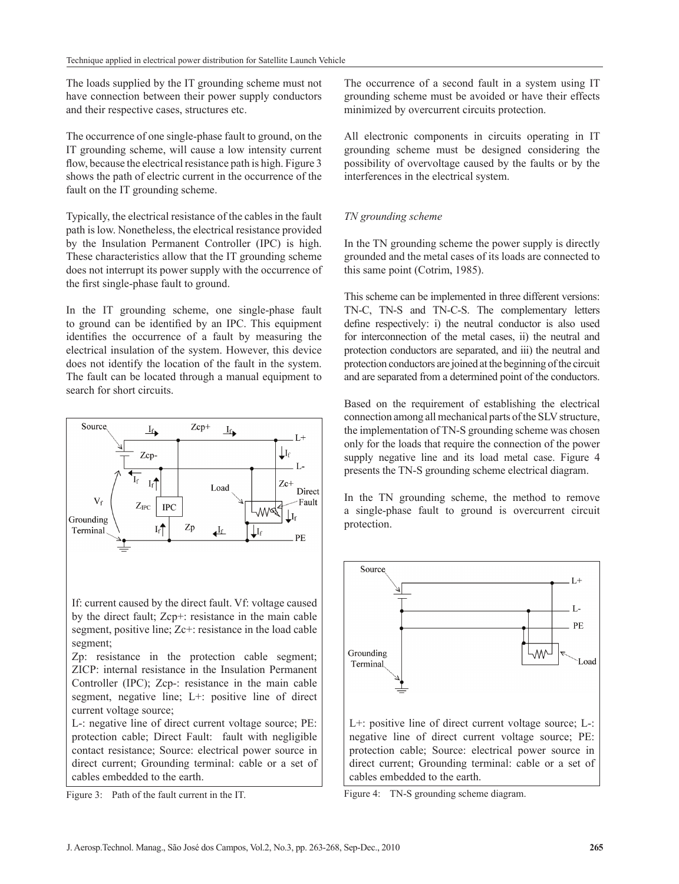The loads supplied by the IT grounding scheme must not have connection between their power supply conductors and their respective cases, structures etc.

The occurrence of one single-phase fault to ground, on the IT grounding scheme, will cause a low intensity current flow, because the electrical resistance path is high. Figure 3 shows the path of electric current in the occurrence of the fault on the IT grounding scheme.

Typically, the electrical resistance of the cables in the fault path is low. Nonetheless, the electrical resistance provided by the Insulation Permanent Controller (IPC) is high. These characteristics allow that the IT grounding scheme does not interrupt its power supply with the occurrence of the first single-phase fault to ground.

In the IT grounding scheme, one single-phase fault to ground can be identified by an IPC. This equipment identifies the occurrence of a fault by measuring the electrical insulation of the system. However, this device does not identify the location of the fault in the system. The fault can be located through a manual equipment to search for short circuits.



Figure 3: Path of the fault current in the IT.

The occurrence of a second fault in a system using IT grounding scheme must be avoided or have their effects minimized by overcurrent circuits protection.

All electronic components in circuits operating in IT grounding scheme must be designed considering the possibility of overvoltage caused by the faults or by the interferences in the electrical system.

#### *TN grounding scheme*

In the TN grounding scheme the power supply is directly grounded and the metal cases of its loads are connected to this same point (Cotrim, 1985).

This scheme can be implemented in three different versions: TN-C, TN-S and TN-C-S. The complementary letters define respectively: i) the neutral conductor is also used for interconnection of the metal cases, ii) the neutral and protection conductors are separated, and iii) the neutral and protection conductors are joined at the beginning of the circuit and are separated from a determined point of the conductors.

Based on the requirement of establishing the electrical connection among all mechanical parts of the SLV structure, the implementation of TN-S grounding scheme was chosen only for the loads that require the connection of the power supply negative line and its load metal case. Figure 4 presents the TN-S grounding scheme electrical diagram.

In the TN grounding scheme, the method to remove a single-phase fault to ground is overcurrent circuit protection.



Figure 4: TN-S grounding scheme diagram.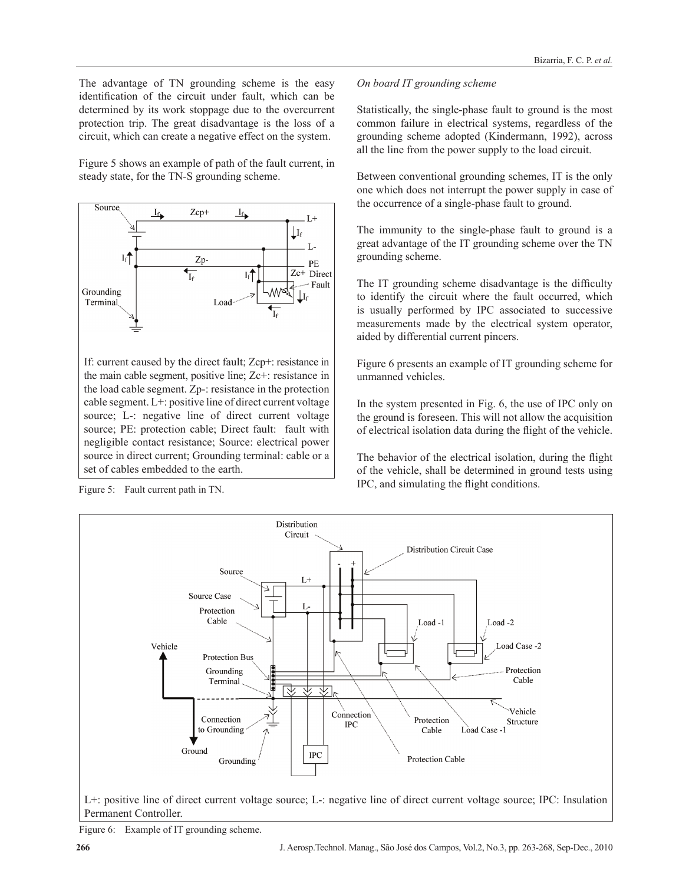The advantage of TN grounding scheme is the easy identification of the circuit under fault, which can be determined by its work stoppage due to the overcurrent protection trip. The great disadvantage is the loss of a circuit, which can create a negative effect on the system.

Figure 5 shows an example of path of the fault current, in steady state, for the TN-S grounding scheme.



If: current caused by the direct fault; Zcp+: resistance in the main cable segment, positive line; Zc+: resistance in the load cable segment. Zp-: resistance in the protection cable segment. L+: positive line of direct current voltage source; L-: negative line of direct current voltage source; PE: protection cable; Direct fault: fault with negligible contact resistance; Source: electrical power source in direct current; Grounding terminal: cable or a set of cables embedded to the earth.

Figure 5: Fault current path in TN.

#### *On board IT grounding scheme*

Statistically, the single-phase fault to ground is the most common failure in electrical systems, regardless of the grounding scheme adopted (Kindermann, 1992), across all the line from the power supply to the load circuit.

Between conventional grounding schemes, IT is the only one which does not interrupt the power supply in case of the occurrence of a single-phase fault to ground.

The immunity to the single-phase fault to ground is a great advantage of the IT grounding scheme over the TN grounding scheme.

The IT grounding scheme disadvantage is the difficulty to identify the circuit where the fault occurred, which is usually performed by IPC associated to successive measurements made by the electrical system operator, aided by differential current pincers.

Figure 6 presents an example of IT grounding scheme for unmanned vehicles.

In the system presented in Fig. 6, the use of IPC only on the ground is foreseen. This will not allow the acquisition of electrical isolation data during the flight of the vehicle.

The behavior of the electrical isolation, during the flight of the vehicle, shall be determined in ground tests using IPC, and simulating the flight conditions.



L+: positive line of direct current voltage source; L-: negative line of direct current voltage source; IPC: Insulation Permanent Controller.

Figure 6: Example of IT grounding scheme.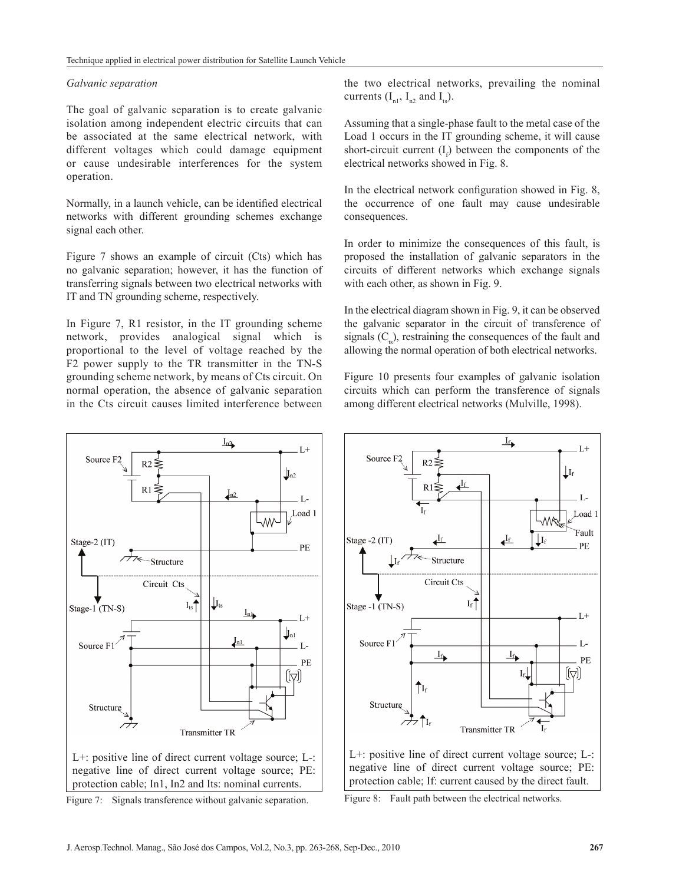#### *Galvanic separation*

The goal of galvanic separation is to create galvanic isolation among independent electric circuits that can be associated at the same electrical network, with different voltages which could damage equipment or cause undesirable interferences for the system operation.

Normally, in a launch vehicle, can be identified electrical networks with different grounding schemes exchange signal each other.

Figure 7 shows an example of circuit (Cts) which has no galvanic separation; however, it has the function of transferring signals between two electrical networks with IT and TN grounding scheme, respectively.

In Figure 7, R1 resistor, in the IT grounding scheme network, provides analogical signal which is proportional to the level of voltage reached by the F2 power supply to the TR transmitter in the TN-S grounding scheme network, by means of Cts circuit. On normal operation, the absence of galvanic separation in the Cts circuit causes limited interference between the two electrical networks, prevailing the nominal currents  $(I_{n1}, I_{n2}$  and  $I_{n3}$ .

Assuming that a single-phase fault to the metal case of the Load 1 occurs in the IT grounding scheme, it will cause short-circuit current  $(I_f)$  between the components of the electrical networks showed in Fig. 8.

In the electrical network configuration showed in Fig. 8, the occurrence of one fault may cause undesirable consequences.

In order to minimize the consequences of this fault, is proposed the installation of galvanic separators in the circuits of different networks which exchange signals with each other, as shown in Fig. 9.

In the electrical diagram shown in Fig. 9, it can be observed the galvanic separator in the circuit of transference of signals  $(C<sub>1</sub>)$ , restraining the consequences of the fault and allowing the normal operation of both electrical networks.

Figure 10 presents four examples of galvanic isolation circuits which can perform the transference of signals among different electrical networks (Mulville, 1998).



Figure 7: Signals transference without galvanic separation.



L+: positive line of direct current voltage source; L-: negative line of direct current voltage source; PE: protection cable; If: current caused by the direct fault.

Figure 8: Fault path between the electrical networks.